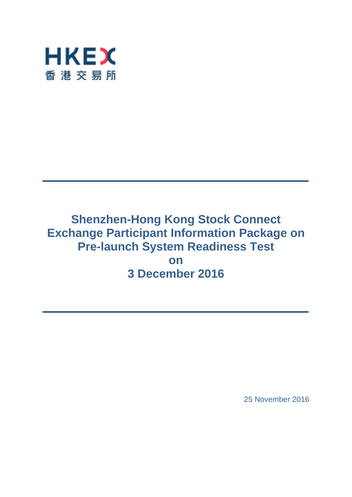

# **Shenzhen-Hong Kong Stock Connect Exchange Participant Information Package on Pre-launch System Readiness Test on 3 December 2016**

25 November 2016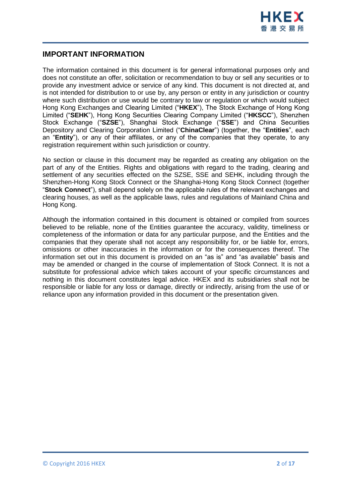

# **IMPORTANT INFORMATION**

The information contained in this document is for general informational purposes only and does not constitute an offer, solicitation or recommendation to buy or sell any securities or to provide any investment advice or service of any kind. This document is not directed at, and is not intended for distribution to or use by, any person or entity in any jurisdiction or country where such distribution or use would be contrary to law or regulation or which would subject Hong Kong Exchanges and Clearing Limited ("**HKEX**"), The Stock Exchange of Hong Kong Limited ("**SEHK**"), Hong Kong Securities Clearing Company Limited ("**HKSCC**"), Shenzhen Stock Exchange ("**SZSE**"), Shanghai Stock Exchange ("**SSE**") and China Securities Depository and Clearing Corporation Limited ("**ChinaClear**") (together, the "**Entities**", each an "**Entity**"), or any of their affiliates, or any of the companies that they operate, to any registration requirement within such jurisdiction or country.

No section or clause in this document may be regarded as creating any obligation on the part of any of the Entities. Rights and obligations with regard to the trading, clearing and settlement of any securities effected on the SZSE, SSE and SEHK, including through the Shenzhen-Hong Kong Stock Connect or the Shanghai-Hong Kong Stock Connect (together "**Stock Connect**"), shall depend solely on the applicable rules of the relevant exchanges and clearing houses, as well as the applicable laws, rules and regulations of Mainland China and Hong Kong.

Although the information contained in this document is obtained or compiled from sources believed to be reliable, none of the Entities guarantee the accuracy, validity, timeliness or completeness of the information or data for any particular purpose, and the Entities and the companies that they operate shall not accept any responsibility for, or be liable for, errors, omissions or other inaccuracies in the information or for the consequences thereof. The information set out in this document is provided on an "as is" and "as available" basis and may be amended or changed in the course of implementation of Stock Connect. It is not a substitute for professional advice which takes account of your specific circumstances and nothing in this document constitutes legal advice. HKEX and its subsidiaries shall not be responsible or liable for any loss or damage, directly or indirectly, arising from the use of or reliance upon any information provided in this document or the presentation given.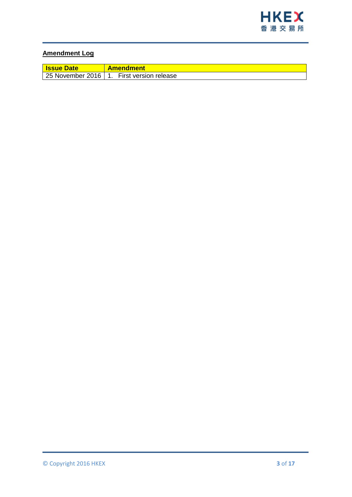

# **Amendment Log**

| <b>Issue Date</b> | <b>Amendment</b>                            |
|-------------------|---------------------------------------------|
|                   | 25 November 2016   1. First version release |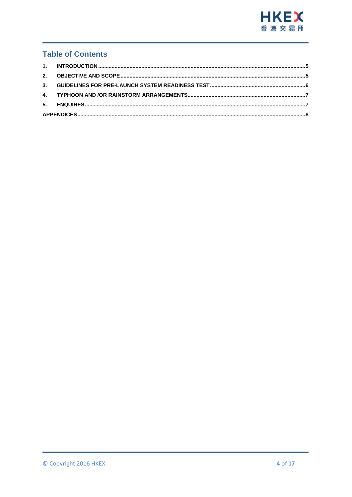

# **Table of Contents**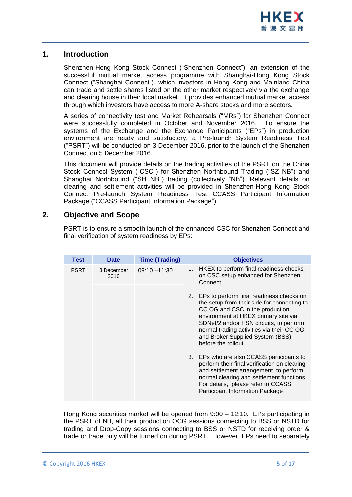

## <span id="page-4-0"></span>**1. Introduction**

Shenzhen-Hong Kong Stock Connect ("Shenzhen Connect"), an extension of the successful mutual market access programme with Shanghai-Hong Kong Stock Connect ("Shanghai Connect"), which investors in Hong Kong and Mainland China can trade and settle shares listed on the other market respectively via the exchange and clearing house in their local market. It provides enhanced mutual market access through which investors have access to more A-share stocks and more sectors.

A series of connectivity test and Market Rehearsals ("MRs") for Shenzhen Connect were successfully completed in October and November 2016. To ensure the systems of the Exchange and the Exchange Participants ("EPs") in production environment are ready and satisfactory, a Pre-launch System Readiness Test ("PSRT") will be conducted on 3 December 2016, prior to the launch of the Shenzhen Connect on 5 December 2016.

This document will provide details on the trading activities of the PSRT on the China Stock Connect System ("CSC") for Shenzhen Northbound Trading ("SZ NB") and Shanghai Northbound ("SH NB") trading (collectively "NB"). Relevant details on clearing and settlement activities will be provided in Shenzhen-Hong Kong Stock Connect Pre-launch System Readiness Test CCASS Participant Information Package ("CCASS Participant Information Package").

# <span id="page-4-1"></span>**2. Objective and Scope**

PSRT is to ensure a smooth launch of the enhanced CSC for Shenzhen Connect and final verification of system readiness by EPs:

| <b>Test</b> | <b>Date</b>        | <b>Time (Trading)</b> | <b>Objectives</b>                                                                                                                                                                                                                                                                                                          |  |
|-------------|--------------------|-----------------------|----------------------------------------------------------------------------------------------------------------------------------------------------------------------------------------------------------------------------------------------------------------------------------------------------------------------------|--|
| <b>PSRT</b> | 3 December<br>2016 | $09:10 - 11:30$       | HKEX to perform final readiness checks<br>1.<br>on CSC setup enhanced for Shenzhen<br>Connect                                                                                                                                                                                                                              |  |
|             |                    |                       | 2.<br>EPs to perform final readiness checks on<br>the setup from their side for connecting to<br>CC OG and CSC in the production<br>environment at HKEX primary site via<br>SDNet/2 and/or HSN circuits, to perform<br>normal trading activities via their CC OG<br>and Broker Supplied System (BSS)<br>before the rollout |  |
|             |                    |                       | 3. EPs who are also CCASS participants to<br>perform their final verification on clearing<br>and settlement arrangement, to perform<br>normal clearing and settlement functions.<br>For details, please refer to CCASS<br><b>Participant Information Package</b>                                                           |  |

Hong Kong securities market will be opened from 9:00 – 12:10. EPs participating in the PSRT of NB, all their production OCG sessions connecting to BSS or NSTD for trading and Drop-Copy sessions connecting to BSS or NSTD for receiving order & trade or trade only will be turned on during PSRT. However, EPs need to separately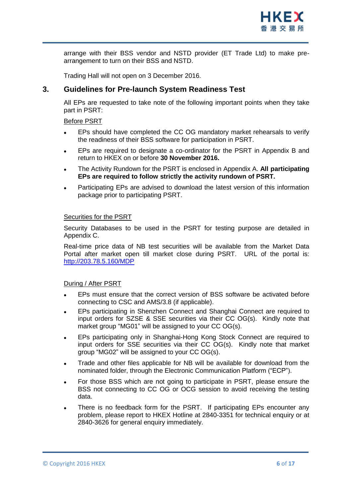

arrange with their BSS vendor and NSTD provider (ET Trade Ltd) to make prearrangement to turn on their BSS and NSTD.

Trading Hall will not open on 3 December 2016.

# <span id="page-5-0"></span>**3. Guidelines for Pre-launch System Readiness Test**

All EPs are requested to take note of the following important points when they take part in PSRT:

#### Before PSRT

- EPs should have completed the CC OG mandatory market rehearsals to verify the readiness of their BSS software for participation in PSRT.
- EPs are required to designate a co-ordinator for the PSRT in Appendix B and return to HKEX on or before **30 November 2016.**
- The Activity Rundown for the PSRT is enclosed in Appendix A. **All participating EPs are required to follow strictly the activity rundown of PSRT.**
- Participating EPs are advised to download the latest version of this information package prior to participating PSRT.

#### Securities for the PSRT

Security Databases to be used in the PSRT for testing purpose are detailed in Appendix C.

Real-time price data of NB test securities will be available from the Market Data Portal after market open till market close during PSRT. URL of the portal is: <http://203.78.5.160/MDP>

#### During / After PSRT

- EPs must ensure that the correct version of BSS software be activated before connecting to CSC and AMS/3.8 (if applicable).
- EPs participating in Shenzhen Connect and Shanghai Connect are required to input orders for SZSE & SSE securities via their CC OG(s). Kindly note that market group "MG01" will be assigned to your CC OG(s).
- EPs participating only in Shanghai-Hong Kong Stock Connect are required to input orders for SSE securities via their CC OG(s). Kindly note that market group "MG02" will be assigned to your CC OG(s).
- Trade and other files applicable for NB will be available for download from the nominated folder, through the Electronic Communication Platform ("ECP").
- For those BSS which are not going to participate in PSRT, please ensure the BSS not connecting to CC OG or OCG session to avoid receiving the testing data.
- There is no feedback form for the PSRT. If participating EPs encounter any problem, please report to HKEX Hotline at 2840-3351 for technical enquiry or at 2840-3626 for general enquiry immediately.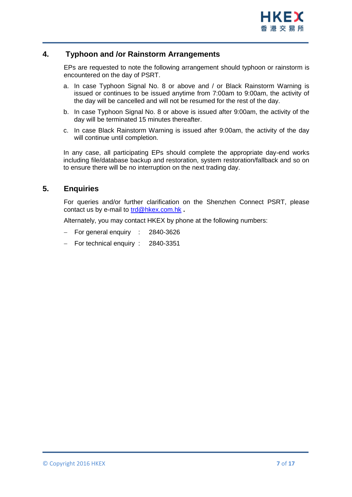

# **4. Typhoon and /or Rainstorm Arrangements**

<span id="page-6-0"></span>EPs are requested to note the following arrangement should typhoon or rainstorm is encountered on the day of PSRT.

- a. In case Typhoon Signal No. 8 or above and / or Black Rainstorm Warning is issued or continues to be issued anytime from 7:00am to 9:00am, the activity of the day will be cancelled and will not be resumed for the rest of the day.
- b. In case Typhoon Signal No. 8 or above is issued after 9:00am, the activity of the day will be terminated 15 minutes thereafter.
- c. In case Black Rainstorm Warning is issued after 9:00am, the activity of the day will continue until completion.

In any case, all participating EPs should complete the appropriate day-end works including file/database backup and restoration, system restoration/fallback and so on to ensure there will be no interruption on the next trading day.

### <span id="page-6-1"></span>**5. Enquiries**

For queries and/or further clarification on the Shenzhen Connect PSRT, please contact us by e-mail to [trd@hkex.com.hk](mailto:trd@hkex.com.hk) **.**

Alternately, you may contact HKEX by phone at the following numbers:

- For general enquiry : 2840-3626
- For technical enquiry : 2840-3351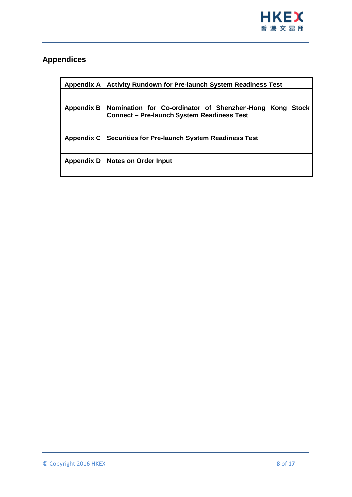

# <span id="page-7-0"></span>**Appendices**

| Appendix A        | <b>Activity Rundown for Pre-launch System Readiness Test</b>                                                 |  |
|-------------------|--------------------------------------------------------------------------------------------------------------|--|
|                   |                                                                                                              |  |
| <b>Appendix B</b> | Nomination for Co-ordinator of Shenzhen-Hong Kong Stock<br><b>Connect - Pre-launch System Readiness Test</b> |  |
|                   |                                                                                                              |  |
| <b>Appendix C</b> | <b>Securities for Pre-launch System Readiness Test</b>                                                       |  |
|                   |                                                                                                              |  |
|                   | Appendix D   Notes on Order Input                                                                            |  |
|                   |                                                                                                              |  |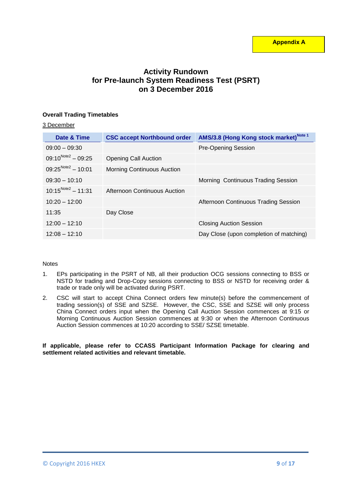# **Activity Rundown for Pre-launch System Readiness Test (PSRT) on 3 December 2016**

#### **Overall Trading Timetables**

#### 3 December

| Date & Time                    | <b>CSC accept Northbound order</b> | AMS/3.8 (Hong Kong stock market) <sup>Note 1</sup> |
|--------------------------------|------------------------------------|----------------------------------------------------|
| $09:00 - 09:30$                |                                    | <b>Pre-Opening Session</b>                         |
| $09:10^{Note2} - 09:25$        | <b>Opening Call Auction</b>        |                                                    |
| $09:25^{\text{Note2}} - 10:01$ | <b>Morning Continuous Auction</b>  |                                                    |
| $09:30 - 10:10$                |                                    | Morning Continuous Trading Session                 |
| $10:15^{Note2} - 11:31$        | Afternoon Continuous Auction       |                                                    |
| $10:20 - 12:00$                |                                    | Afternoon Continuous Trading Session               |
| 11:35                          | Day Close                          |                                                    |
| $12:00 - 12:10$                |                                    | <b>Closing Auction Session</b>                     |
| $12:08 - 12:10$                |                                    | Day Close (upon completion of matching)            |

#### **Notes**

- 1. EPs participating in the PSRT of NB, all their production OCG sessions connecting to BSS or NSTD for trading and Drop-Copy sessions connecting to BSS or NSTD for receiving order & trade or trade only will be activated during PSRT.
- 2. CSC will start to accept China Connect orders few minute(s) before the commencement of trading session(s) of SSE and SZSE. However, the CSC, SSE and SZSE will only process China Connect orders input when the Opening Call Auction Session commences at 9:15 or Morning Continuous Auction Session commences at 9:30 or when the Afternoon Continuous Auction Session commences at 10:20 according to SSE/ SZSE timetable.

#### **If applicable, please refer to CCASS Participant Information Package for clearing and settlement related activities and relevant timetable.**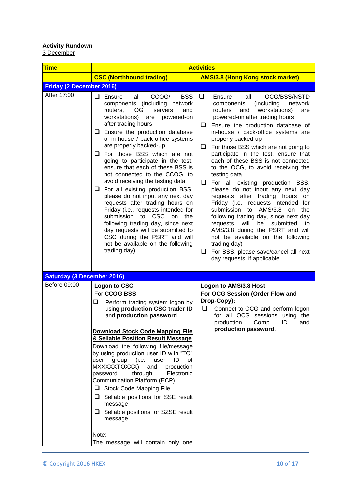#### **Activity Rundown**

<u>3 December</u>

| <b>Time</b>                       | <b>Activities</b>                                                                                                                                                                                                                                                                                                                                                                                                                                                                                                                                                                                                                                                                                                                                                                                                                                            |                                                                                                                                                                                                                                                                                                                                                                                                                                                                                                                                                                                                                                                                                                                                                                                                                                                                                                                            |  |
|-----------------------------------|--------------------------------------------------------------------------------------------------------------------------------------------------------------------------------------------------------------------------------------------------------------------------------------------------------------------------------------------------------------------------------------------------------------------------------------------------------------------------------------------------------------------------------------------------------------------------------------------------------------------------------------------------------------------------------------------------------------------------------------------------------------------------------------------------------------------------------------------------------------|----------------------------------------------------------------------------------------------------------------------------------------------------------------------------------------------------------------------------------------------------------------------------------------------------------------------------------------------------------------------------------------------------------------------------------------------------------------------------------------------------------------------------------------------------------------------------------------------------------------------------------------------------------------------------------------------------------------------------------------------------------------------------------------------------------------------------------------------------------------------------------------------------------------------------|--|
|                                   | <b>CSC (Northbound trading)</b>                                                                                                                                                                                                                                                                                                                                                                                                                                                                                                                                                                                                                                                                                                                                                                                                                              | <b>AMS/3.8 (Hong Kong stock market)</b>                                                                                                                                                                                                                                                                                                                                                                                                                                                                                                                                                                                                                                                                                                                                                                                                                                                                                    |  |
| <b>Friday (2 December 2016)</b>   |                                                                                                                                                                                                                                                                                                                                                                                                                                                                                                                                                                                                                                                                                                                                                                                                                                                              |                                                                                                                                                                                                                                                                                                                                                                                                                                                                                                                                                                                                                                                                                                                                                                                                                                                                                                                            |  |
| After 17:00                       | $\Box$ Ensure<br>all<br>CCOG/<br><b>BSS</b><br>components (including network<br>routers,<br>OG.<br>and<br>servers<br>workstations)<br>powered-on<br>are<br>after trading hours<br>$\Box$ Ensure the production database<br>of in-house / back-office systems<br>are properly backed-up<br>$\Box$ For those BSS which are not<br>going to participate in the test,<br>ensure that each of these BSS is<br>not connected to the CCOG, to<br>avoid receiving the testing data<br>$\Box$ For all existing production BSS,<br>please do not input any next day<br>requests after trading hours on<br>Friday (i.e., requests intended for<br><b>CSC</b><br>submission<br>to<br><sub>on</sub><br>the<br>following trading day, since next<br>day requests will be submitted to<br>CSC during the PSRT and will<br>not be available on the following<br>trading day) | $\Box$<br>OCG/BSS/NSTD<br>Ensure<br>all<br>components<br>(including)<br>network<br>workstations)<br>routers<br>and<br>are<br>powered-on after trading hours<br>Ensure the production database of<br>⊔<br>in-house / back-office systems are<br>properly backed-up<br>For those BSS which are not going to<br>❏<br>participate in the test, ensure that<br>each of these BSS is not connected<br>to the OCG, to avoid receiving the<br>testing data<br>❏<br>For all existing production BSS,<br>please do not input any next day<br>requests after trading<br>hours<br><b>on</b><br>Friday (i.e., requests intended for<br>to AMS/3.8<br>submission<br>on<br>the<br>following trading day, since next day<br>requests<br>will<br>be<br>submitted<br>to<br>AMS/3.8 during the PSRT and will<br>not be available on the following<br>trading day)<br>For BSS, please save/cancel all next<br>u<br>day requests, if applicable |  |
| <b>Saturday (3 December 2016)</b> |                                                                                                                                                                                                                                                                                                                                                                                                                                                                                                                                                                                                                                                                                                                                                                                                                                                              |                                                                                                                                                                                                                                                                                                                                                                                                                                                                                                                                                                                                                                                                                                                                                                                                                                                                                                                            |  |
| Before 09:00                      | Logon to CSC<br>For CCOG BSS:<br>Perform trading system logon by<br>u<br>using production CSC trader ID<br>and production password<br><b>Download Stock Code Mapping File</b><br>& Sellable Position Result Message<br>Download the following file/message<br>by using production user ID with "TO"<br>group<br>(i.e.<br>user<br>ID<br>user<br>οf<br>MXXXXXTOXXX)<br>production<br>and<br>Electronic<br>through<br>password<br>Communication Platform (ECP)<br>Stock Code Mapping File<br>$\Box$ Sellable positions for SSE result<br>message<br>$\Box$ Sellable positions for SZSE result<br>message<br>Note:<br>The message will contain only one                                                                                                                                                                                                          | Logon to AMS/3.8 Host<br>For OCG Session (Order Flow and<br>Drop-Copy):<br>❏<br>Connect to OCG and perform logon<br>for all OCG sessions using the<br>production<br>ID<br>Comp<br>and<br>production password.                                                                                                                                                                                                                                                                                                                                                                                                                                                                                                                                                                                                                                                                                                              |  |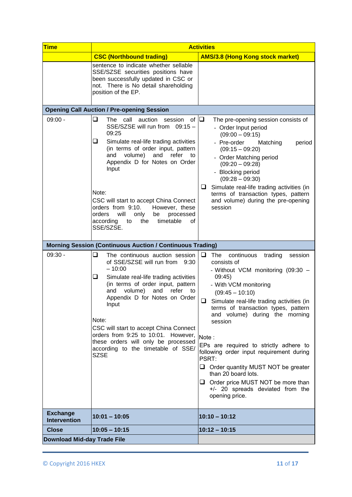| <b>Time</b>                            | <b>Activities</b>                                                                                                                                                                                                                                                                                                                                                                                                                                               |                                                                                                                                                                                                                                                                                                                                                                                                                                                                                                                                                                            |
|----------------------------------------|-----------------------------------------------------------------------------------------------------------------------------------------------------------------------------------------------------------------------------------------------------------------------------------------------------------------------------------------------------------------------------------------------------------------------------------------------------------------|----------------------------------------------------------------------------------------------------------------------------------------------------------------------------------------------------------------------------------------------------------------------------------------------------------------------------------------------------------------------------------------------------------------------------------------------------------------------------------------------------------------------------------------------------------------------------|
|                                        | <b>CSC (Northbound trading)</b>                                                                                                                                                                                                                                                                                                                                                                                                                                 | <b>AMS/3.8 (Hong Kong stock market)</b>                                                                                                                                                                                                                                                                                                                                                                                                                                                                                                                                    |
|                                        | sentence to indicate whether sellable<br>SSE/SZSE securities positions have<br>been successfully updated in CSC or<br>not. There is No detail shareholding<br>position of the EP.                                                                                                                                                                                                                                                                               |                                                                                                                                                                                                                                                                                                                                                                                                                                                                                                                                                                            |
|                                        | <b>Opening Call Auction / Pre-opening Session</b>                                                                                                                                                                                                                                                                                                                                                                                                               |                                                                                                                                                                                                                                                                                                                                                                                                                                                                                                                                                                            |
| $09:00 -$                              | $\Box$<br>The call<br>auction<br>session<br>οf<br>SSE/SZSE will run from 09:15 -<br>09:25<br>Simulate real-life trading activities<br>⊔<br>(in terms of order input, pattern<br>refer<br>and<br>volume)<br>and<br>to<br>Appendix D for Notes on Order<br>Input<br>Note:<br>CSC will start to accept China Connect<br>orders from 9:10.<br>However, these<br>orders<br>will<br>only<br>be<br>processed<br>timetable<br>according<br>the<br>οf<br>to<br>SSE/SZSE. | $\Box$<br>The pre-opening session consists of<br>- Order Input period<br>$(09:00 - 09:15)$<br>- Pre-order<br>Matching<br>period<br>$(09:15 - 09:20)$<br>- Order Matching period<br>$(09:20 - 09:28)$<br>- Blocking period<br>$(09:28 - 09:30)$<br>Simulate real-life trading activities (in<br>⊔<br>terms of transaction types, pattern<br>and volume) during the pre-opening<br>session                                                                                                                                                                                   |
|                                        | <b>Morning Session (Continuous Auction / Continuous Trading)</b>                                                                                                                                                                                                                                                                                                                                                                                                |                                                                                                                                                                                                                                                                                                                                                                                                                                                                                                                                                                            |
| $09:30 -$                              | ❏<br>The continuous auction session<br>of SSE/SZSE will run from<br>9:30<br>$-10:00$<br>❏<br>Simulate real-life trading activities<br>(in terms of order input, pattern<br>volume)<br>refer<br>and<br>and<br>to<br>Appendix D for Notes on Order<br>Input<br>Note:<br>CSC will start to accept China Connect<br>orders from 9:25 to 10:01. However,<br>these orders will only be processed<br>according to the timetable of SSE/<br><b>SZSE</b>                 | ⊔<br><b>The</b><br>continuous<br>trading<br>session<br>consists of<br>- Without VCM monitoring (09:30 -<br>09:45)<br>- With VCM monitoring<br>$(09:45 - 10:10)$<br>❏<br>Simulate real-life trading activities (in<br>terms of transaction types, pattern<br>and volume) during the morning<br>session<br>Note:<br>EPs are required to strictly adhere to<br>following order input requirement during<br>PSRT:<br>Order quantity MUST NOT be greater<br>than 20 board lots.<br>Order price MUST NOT be more than<br>u<br>+/- 20 spreads deviated from the<br>opening price. |
| <b>Exchange</b><br><b>Intervention</b> | $10:01 - 10:05$                                                                                                                                                                                                                                                                                                                                                                                                                                                 | $10:10 - 10:12$                                                                                                                                                                                                                                                                                                                                                                                                                                                                                                                                                            |
| <b>Close</b>                           | $10:05 - 10:15$                                                                                                                                                                                                                                                                                                                                                                                                                                                 | $10:12 - 10:15$                                                                                                                                                                                                                                                                                                                                                                                                                                                                                                                                                            |
| <b>Download Mid-day Trade File</b>     |                                                                                                                                                                                                                                                                                                                                                                                                                                                                 |                                                                                                                                                                                                                                                                                                                                                                                                                                                                                                                                                                            |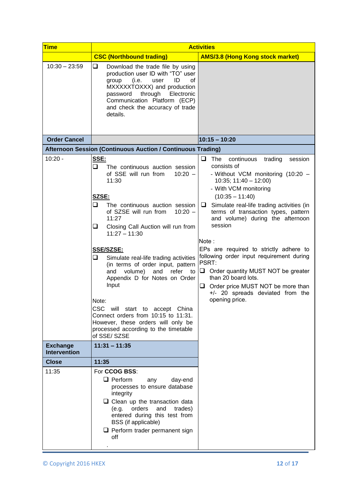| <b>Time</b>                            | <b>Activities</b>                                                                                                                                                                                                                                                                                                                                                                                                                                                                                                                                                                                                                |                                                                                                                                                                                                                                                                                                                                                                                                                                                                                                                                                                                                     |  |
|----------------------------------------|----------------------------------------------------------------------------------------------------------------------------------------------------------------------------------------------------------------------------------------------------------------------------------------------------------------------------------------------------------------------------------------------------------------------------------------------------------------------------------------------------------------------------------------------------------------------------------------------------------------------------------|-----------------------------------------------------------------------------------------------------------------------------------------------------------------------------------------------------------------------------------------------------------------------------------------------------------------------------------------------------------------------------------------------------------------------------------------------------------------------------------------------------------------------------------------------------------------------------------------------------|--|
|                                        | <b>CSC (Northbound trading)</b>                                                                                                                                                                                                                                                                                                                                                                                                                                                                                                                                                                                                  | <b>AMS/3.8 (Hong Kong stock market)</b>                                                                                                                                                                                                                                                                                                                                                                                                                                                                                                                                                             |  |
| $10:30 - 23:59$                        | u<br>Download the trade file by using<br>production user ID with "TO" user<br>(i.e.<br>ID<br>οf<br>group<br>user<br>MXXXXXTOXXX) and production<br>through<br>Electronic<br>password<br>Communication Platform (ECP)<br>and check the accuracy of trade<br>details.                                                                                                                                                                                                                                                                                                                                                              |                                                                                                                                                                                                                                                                                                                                                                                                                                                                                                                                                                                                     |  |
| <b>Order Cancel</b>                    |                                                                                                                                                                                                                                                                                                                                                                                                                                                                                                                                                                                                                                  | $10:15 - 10:20$                                                                                                                                                                                                                                                                                                                                                                                                                                                                                                                                                                                     |  |
|                                        | Afternoon Session (Continuous Auction / Continuous Trading)                                                                                                                                                                                                                                                                                                                                                                                                                                                                                                                                                                      |                                                                                                                                                                                                                                                                                                                                                                                                                                                                                                                                                                                                     |  |
| $10:20 -$                              | SSE:<br>$\Box$<br>The continuous auction session<br>of SSE will run from<br>$10:20 -$<br>11:30<br>SZSE:<br>The continuous auction session<br>⊔<br>$10:20 -$<br>of SZSE will run from<br>11:27<br>❏<br>Closing Call Auction will run from<br>$11:27 - 11:30$<br><b>SSE/SZSE:</b><br>❏<br>Simulate real-life trading activities<br>(in terms of order input, pattern<br>refer<br>and volume)<br>and<br>to<br>Appendix D for Notes on Order<br>Input<br>Note:<br>CSC will start to accept China<br>Connect orders from 10:15 to 11:31.<br>However, these orders will only be<br>processed according to the timetable<br>of SSE/SZSE | ❏<br>The<br>continuous<br>trading<br>session<br>consists of<br>- Without VCM monitoring (10:20 -<br>$10:35$ ; $11:40 - 12:00$ )<br>- With VCM monitoring<br>$(10:35 - 11:40)$<br>$\Box$ Simulate real-life trading activities (in<br>terms of transaction types, pattern<br>and volume) during the afternoon<br>session<br>Note:<br>EPs are required to strictly adhere to<br>following order input requirement during<br>PSRT:<br>$\Box$ Order quantity MUST NOT be greater<br>than 20 board lots.<br>Order price MUST NOT be more than<br>u<br>+/- 20 spreads deviated from the<br>opening price. |  |
| <b>Exchange</b><br><b>Intervention</b> | $11:31 - 11:35$                                                                                                                                                                                                                                                                                                                                                                                                                                                                                                                                                                                                                  |                                                                                                                                                                                                                                                                                                                                                                                                                                                                                                                                                                                                     |  |
| <b>Close</b>                           | 11:35                                                                                                                                                                                                                                                                                                                                                                                                                                                                                                                                                                                                                            |                                                                                                                                                                                                                                                                                                                                                                                                                                                                                                                                                                                                     |  |
| 11:35                                  | For CCOG BSS:<br>$\Box$ Perform<br>day-end<br>any<br>processes to ensure database<br>integrity<br>$\Box$ Clean up the transaction data<br>(e.g. orders<br>and<br>trades)<br>entered during this test from<br>BSS (if applicable)<br>$\Box$ Perform trader permanent sign<br>off                                                                                                                                                                                                                                                                                                                                                  |                                                                                                                                                                                                                                                                                                                                                                                                                                                                                                                                                                                                     |  |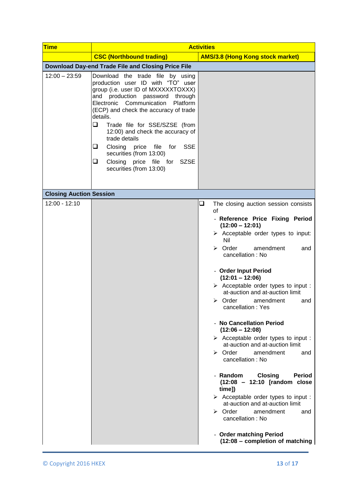| <b>Time</b>                    | <b>Activities</b>                                                                                                                                                                                                                                                                                                                                                                                                                                                                    |                                                                                                                                                                                                                                                                                                                                                                                                                                                                                                                                                                                                                                                                                                                                                                                                                                                                                                                                                                      |
|--------------------------------|--------------------------------------------------------------------------------------------------------------------------------------------------------------------------------------------------------------------------------------------------------------------------------------------------------------------------------------------------------------------------------------------------------------------------------------------------------------------------------------|----------------------------------------------------------------------------------------------------------------------------------------------------------------------------------------------------------------------------------------------------------------------------------------------------------------------------------------------------------------------------------------------------------------------------------------------------------------------------------------------------------------------------------------------------------------------------------------------------------------------------------------------------------------------------------------------------------------------------------------------------------------------------------------------------------------------------------------------------------------------------------------------------------------------------------------------------------------------|
|                                | <b>CSC (Northbound trading)</b>                                                                                                                                                                                                                                                                                                                                                                                                                                                      | <b>AMS/3.8 (Hong Kong stock market)</b>                                                                                                                                                                                                                                                                                                                                                                                                                                                                                                                                                                                                                                                                                                                                                                                                                                                                                                                              |
|                                | Download Day-end Trade File and Closing Price File                                                                                                                                                                                                                                                                                                                                                                                                                                   |                                                                                                                                                                                                                                                                                                                                                                                                                                                                                                                                                                                                                                                                                                                                                                                                                                                                                                                                                                      |
| $12:00 - 23:59$                | Download the trade file by using<br>production user ID with "TO" user<br>group (i.e. user ID of MXXXXXTOXXX)<br>and production password<br>through<br>Electronic Communication<br>Platform<br>(ECP) and check the accuracy of trade<br>details.<br>❏<br>Trade file for SSE/SZSE (from<br>12:00) and check the accuracy of<br>trade details<br>❏<br>Closing price file<br>for<br><b>SSE</b><br>securities (from 13:00)<br>❏<br>Closing price file for SZSE<br>securities (from 13:00) |                                                                                                                                                                                                                                                                                                                                                                                                                                                                                                                                                                                                                                                                                                                                                                                                                                                                                                                                                                      |
| <b>Closing Auction Session</b> |                                                                                                                                                                                                                                                                                                                                                                                                                                                                                      |                                                                                                                                                                                                                                                                                                                                                                                                                                                                                                                                                                                                                                                                                                                                                                                                                                                                                                                                                                      |
| 12:00 - 12:10                  |                                                                                                                                                                                                                                                                                                                                                                                                                                                                                      | $\Box$<br>The closing auction session consists<br>of<br>- Reference Price Fixing Period<br>$(12:00 - 12:01)$<br>$\triangleright$ Acceptable order types to input:<br>Nil<br>$\triangleright$ Order<br>amendment<br>and<br>cancellation: No<br>- Order Input Period<br>$(12:01 - 12:06)$<br>$\triangleright$ Acceptable order types to input :<br>at-auction and at-auction limit<br>$\triangleright$ Order<br>amendment<br>and<br>cancellation: Yes<br>- No Cancellation Period<br>$(12:06 - 12:08)$<br>$\triangleright$ Acceptable order types to input :<br>at-auction and at-auction limit<br>$\triangleright$ Order<br>amendment<br>and<br>cancellation: No<br><b>Closing</b><br>- Random<br><b>Period</b><br>(12:08 - 12:10 [random close<br>time])<br>> Acceptable order types to input :<br>at-auction and at-auction limit<br>$\triangleright$ Order<br>amendment<br>and<br>cancellation: No<br>- Order matching Period<br>$(12:08 -$ completion of matching |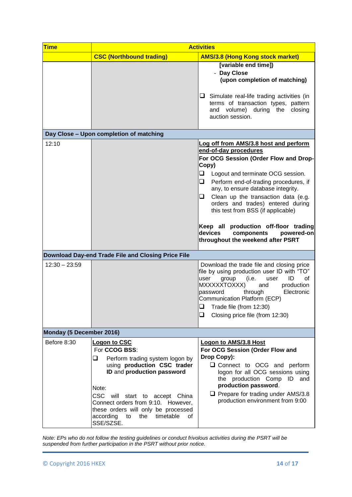| <b>Time</b>              | <b>Activities</b>                                                                                                                                                                                                                                                                                                                     |                                                                                                                                                                                                                                                                                                                                                                                                                                                                                            |  |
|--------------------------|---------------------------------------------------------------------------------------------------------------------------------------------------------------------------------------------------------------------------------------------------------------------------------------------------------------------------------------|--------------------------------------------------------------------------------------------------------------------------------------------------------------------------------------------------------------------------------------------------------------------------------------------------------------------------------------------------------------------------------------------------------------------------------------------------------------------------------------------|--|
|                          | <b>CSC (Northbound trading)</b>                                                                                                                                                                                                                                                                                                       | <b>AMS/3.8 (Hong Kong stock market)</b>                                                                                                                                                                                                                                                                                                                                                                                                                                                    |  |
|                          |                                                                                                                                                                                                                                                                                                                                       | [variable end time])<br>- Day Close<br>(upon completion of matching)<br>$\Box$ Simulate real-life trading activities (in<br>terms of transaction types, pattern<br>and volume) during the<br>closing<br>auction session.                                                                                                                                                                                                                                                                   |  |
|                          | Day Close - Upon completion of matching                                                                                                                                                                                                                                                                                               |                                                                                                                                                                                                                                                                                                                                                                                                                                                                                            |  |
| 12:10                    |                                                                                                                                                                                                                                                                                                                                       | Log off from AMS/3.8 host and perform<br>end-of-day procedures<br>For OCG Session (Order Flow and Drop-<br>Copy)<br>❏<br>Logout and terminate OCG session.<br>Perform end-of-trading procedures, if<br>u<br>any, to ensure database integrity.<br>Clean up the transaction data (e.g.<br>u<br>orders and trades) entered during<br>this test from BSS (if applicable)<br>Keep all production off-floor trading<br>devices<br>components<br>powered-on<br>throughout the weekend after PSRT |  |
|                          | Download Day-end Trade File and Closing Price File                                                                                                                                                                                                                                                                                    |                                                                                                                                                                                                                                                                                                                                                                                                                                                                                            |  |
| $12:30 - 23:59$          |                                                                                                                                                                                                                                                                                                                                       | Download the trade file and closing price<br>file by using production user ID with "TO"<br>group<br>(i.e.<br>ID<br>user<br>user<br>οf<br>MXXXXXTOXXX)<br>and<br>production<br>through<br>Electronic<br>password<br>Communication Platform (ECP)<br>$\Box$ Trade file (from 12:30)<br>❏<br>Closing price file (from 12:30)                                                                                                                                                                  |  |
| Monday (5 December 2016) |                                                                                                                                                                                                                                                                                                                                       |                                                                                                                                                                                                                                                                                                                                                                                                                                                                                            |  |
| Before 8:30              | <b>Logon to CSC</b><br>For CCOG BSS:<br>Perform trading system logon by<br>⊔<br>using production CSC trader<br>ID and production password<br>Note:<br><b>CSC</b><br>will start to accept China<br>Connect orders from 9:10. However,<br>these orders will only be processed<br>timetable<br>according<br>the<br>to<br>οf<br>SSE/SZSE. | <b>Logon to AMS/3.8 Host</b><br>For OCG Session (Order Flow and<br>Drop Copy):<br>□ Connect to OCG and perform<br>logon for all OCG sessions using<br>the production Comp ID and<br>production password.<br>$\Box$ Prepare for trading under AMS/3.8<br>production environment from 9:00                                                                                                                                                                                                   |  |

*Note: EPs who do not follow the testing guidelines or conduct frivolous activities during the PSRT will be suspended from further participation in the PSRT without prior notice.*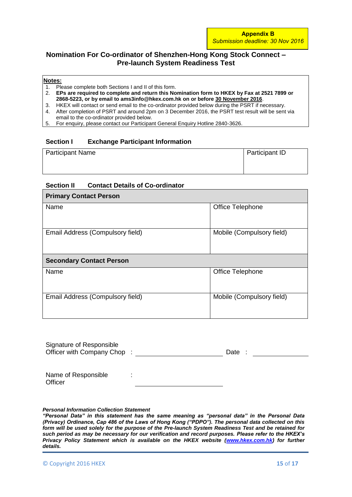# **Nomination For Co-ordinator of Shenzhen-Hong Kong Stock Connect – Pre-launch System Readiness Test**

#### **Notes:**

- 1. Please complete both Sections I and II of this form.<br>2. **EPs are required to complete and return this No**
- 2. **EPs are required to complete and return this Nomination form to HKEX by Fax at 2521 7899 or 2868-5223, or by email to ams3info@hkex.com.hk on or before 30 November 2016**.
- 3. HKEX will contact or send email to the co-ordinator provided below during the PSRT if necessary.
- 4. After completion of PSRT and around 2pm on 3 December 2016, the PSRT test result will be sent via email to the co-ordinator provided below.
- 5. For enquiry, please contact our Participant General Enquiry Hotline 2840-3626.

### **Section I Exchange Participant Information**

| <b>Participant Name</b> | Participant ID |
|-------------------------|----------------|
|                         |                |

#### **Section II Contact Details of Co-ordinator**

| <b>Primary Contact Person</b>    |                           |
|----------------------------------|---------------------------|
| Name                             | Office Telephone          |
| Email Address (Compulsory field) | Mobile (Compulsory field) |
| <b>Secondary Contact Person</b>  |                           |
| Name                             | Office Telephone          |
| Email Address (Compulsory field) | Mobile (Compulsory field) |

| Signature of Responsible<br>Officer with Company Chop: |                     | Date |
|--------------------------------------------------------|---------------------|------|
| Name of Responsible<br>Officer                         | ٠<br>$\blacksquare$ |      |

#### *Personal Information Collection Statement*

*"Personal Data" in this statement has the same meaning as "personal data" in the Personal Data (Privacy) Ordinance, Cap 486 of the Laws of Hong Kong ("PDPO"). The personal data collected on this form will be used solely for the purpose of the Pre-launch System Readiness Test and be retained for such period as may be necessary for our verification and record purposes. Please refer to the HKEX's Privacy Policy Statement which is available on the HKEX website [\(www.hkex.com.hk\)](http://www.hkex.com.hk/) for further details.*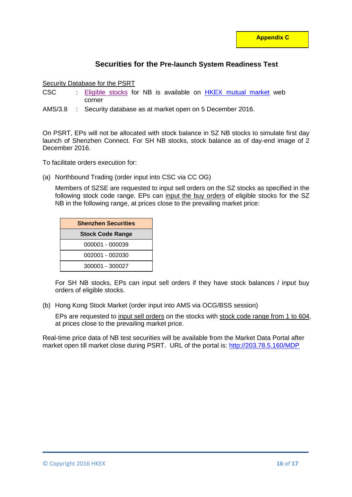# **Securities for the Pre-launch System Readiness Test**

### Security Database for the PSRT

- CSC : [Eligible stocks](http://www.hkex.com.hk/eng/market/sec_tradinfra/chinaconnect/Eligiblestock.htm) for NB is available on [HKEX mutual market](http://www.hkex.com.hk/mutualmarket) web corner
- AMS/3.8 : Security database as at market open on 5 December 2016.

On PSRT, EPs will not be allocated with stock balance in SZ NB stocks to simulate first day launch of Shenzhen Connect. For SH NB stocks, stock balance as of day-end image of 2 December 2016.

To facilitate orders execution for:

(a) Northbound Trading (order input into CSC via CC OG)

Members of SZSE are requested to input sell orders on the SZ stocks as specified in the following stock code range. EPs can input the buy orders of eligible stocks for the SZ NB in the following range, at prices close to the prevailing market price:

| <b>Shenzhen Securities</b> |  |
|----------------------------|--|
| <b>Stock Code Range</b>    |  |
| 000001 - 000039            |  |
| 002001 - 002030            |  |
| 300001 - 300027            |  |

For SH NB stocks, EPs can input sell orders if they have stock balances / input buy orders of eligible stocks.

(b) Hong Kong Stock Market (order input into AMS via OCG/BSS session)

EPs are requested to input sell orders on the stocks with stock code range from 1 to 604, at prices close to the prevailing market price.

Real-time price data of NB test securities will be available from the Market Data Portal after market open till market close during PSRT. URL of the portal is:<http://203.78.5.160/MDP>